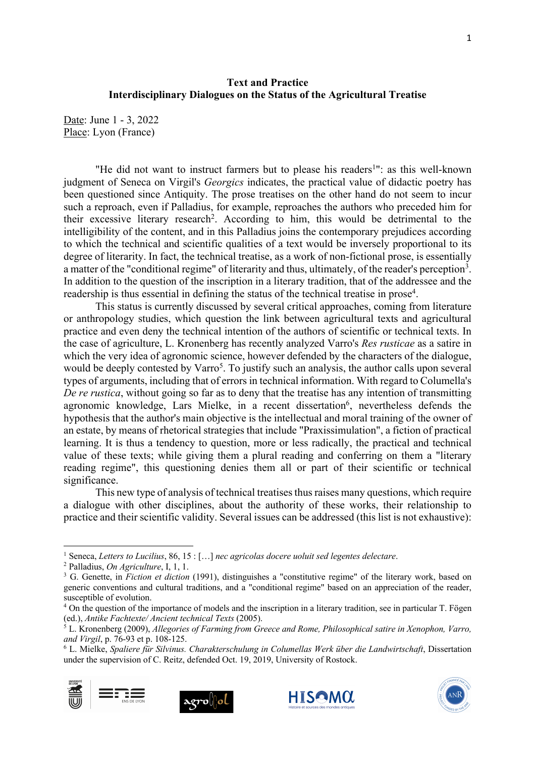## **Text and Practice Interdisciplinary Dialogues on the Status of the Agricultural Treatise**

Date: June 1 - 3, 2022 Place: Lyon (France)

"He did not want to instruct farmers but to please his readers<sup>1</sup>": as this well-known judgment of Seneca on Virgil's *Georgics* indicates, the practical value of didactic poetry has been questioned since Antiquity. The prose treatises on the other hand do not seem to incur such a reproach, even if Palladius, for example, reproaches the authors who preceded him for their excessive literary research<sup>2</sup>. According to him, this would be detrimental to the intelligibility of the content, and in this Palladius joins the contemporary prejudices according to which the technical and scientific qualities of a text would be inversely proportional to its degree of literarity. In fact, the technical treatise, as a work of non-fictional prose, is essentially a matter of the "conditional regime" of literarity and thus, ultimately, of the reader's perception<sup>3</sup>. In addition to the question of the inscription in a literary tradition, that of the addressee and the readership is thus essential in defining the status of the technical treatise in prose<sup>4</sup>.

This status is currently discussed by several critical approaches, coming from literature or anthropology studies, which question the link between agricultural texts and agricultural practice and even deny the technical intention of the authors of scientific or technical texts. In the case of agriculture, L. Kronenberg has recently analyzed Varro's *Res rusticae* as a satire in which the very idea of agronomic science, however defended by the characters of the dialogue, would be deeply contested by Varro<sup>5</sup>. To justify such an analysis, the author calls upon several types of arguments, including that of errors in technical information. With regard to Columella's *De re rustica*, without going so far as to deny that the treatise has any intention of transmitting agronomic knowledge, Lars Mielke, in a recent dissertation<sup>6</sup>, nevertheless defends the hypothesis that the author's main objective is the intellectual and moral training of the owner of an estate, by means of rhetorical strategies that include "Praxissimulation", a fiction of practical learning. It is thus a tendency to question, more or less radically, the practical and technical value of these texts; while giving them a plural reading and conferring on them a "literary reading regime", this questioning denies them all or part of their scientific or technical significance.

This new type of analysis of technical treatises thus raises many questions, which require a dialogue with other disciplines, about the authority of these works, their relationship to practice and their scientific validity. Several issues can be addressed (this list is not exhaustive):

<sup>6</sup> L. Mielke, *Spaliere für Silvinus. Charakterschulung in Columellas Werk über die Landwirtschaft*, Dissertation under the supervision of C. Reitz, defended Oct. 19, 2019, University of Rostock.









<sup>1</sup> Seneca, *Letters to Lucilius*, 86, 15 : […] *nec agricolas docere uoluit sed legentes delectare*.

<sup>2</sup> Palladius, *On Agriculture*, I, 1, 1.

<sup>3</sup> G. Genette, in *Fiction et diction* (1991), distinguishes a "constitutive regime" of the literary work, based on generic conventions and cultural traditions, and a "conditional regime" based on an appreciation of the reader, susceptible of evolution.

<sup>4</sup> On the question of the importance of models and the inscription in a literary tradition, see in particular T. Fögen (ed.), *Antike Fachtexte/ Ancient technical Texts* (2005).

<sup>5</sup> L. Kronenberg (2009), *Allegories of Farming from Greece and Rome, Philosophical satire in Xenophon, Varro, and Virgil*, p. 76-93 et p. 108-125.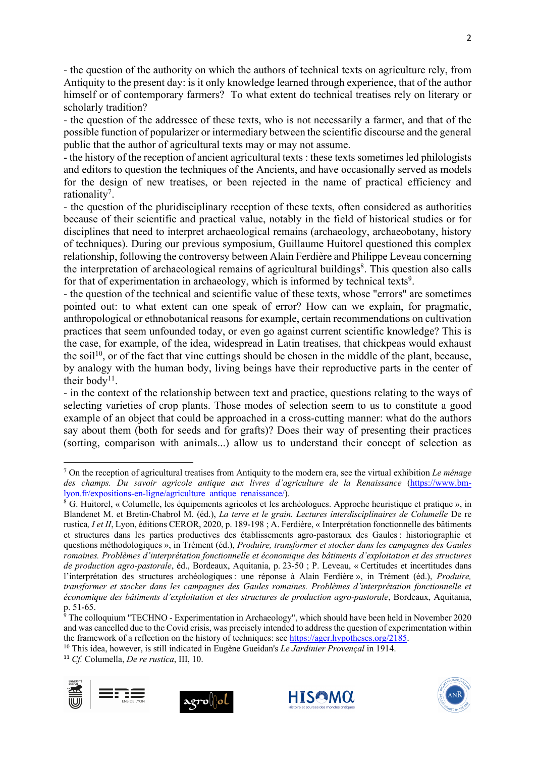- the question of the authority on which the authors of technical texts on agriculture rely, from Antiquity to the present day: is it only knowledge learned through experience, that of the author himself or of contemporary farmers? To what extent do technical treatises rely on literary or scholarly tradition?

- the question of the addressee of these texts, who is not necessarily a farmer, and that of the possible function of popularizer or intermediary between the scientific discourse and the general public that the author of agricultural texts may or may not assume.

- the history of the reception of ancient agricultural texts : these texts sometimes led philologists and editors to question the techniques of the Ancients, and have occasionally served as models for the design of new treatises, or been rejected in the name of practical efficiency and rationality<sup>7</sup>.

- the question of the pluridisciplinary reception of these texts, often considered as authorities because of their scientific and practical value, notably in the field of historical studies or for disciplines that need to interpret archaeological remains (archaeology, archaeobotany, history of techniques). During our previous symposium, Guillaume Huitorel questioned this complex relationship, following the controversy between Alain Ferdière and Philippe Leveau concerning the interpretation of archaeological remains of agricultural buildings<sup>8</sup>. This question also calls for that of experimentation in archaeology, which is informed by technical texts<sup>9</sup>.

- the question of the technical and scientific value of these texts, whose "errors" are sometimes pointed out: to what extent can one speak of error? How can we explain, for pragmatic, anthropological or ethnobotanical reasons for example, certain recommendations on cultivation practices that seem unfounded today, or even go against current scientific knowledge? This is the case, for example, of the idea, widespread in Latin treatises, that chickpeas would exhaust the soil<sup>10</sup>, or of the fact that vine cuttings should be chosen in the middle of the plant, because, by analogy with the human body, living beings have their reproductive parts in the center of their body<sup>11</sup>.

- in the context of the relationship between text and practice, questions relating to the ways of selecting varieties of crop plants. Those modes of selection seem to us to constitute a good example of an object that could be approached in a cross-cutting manner: what do the authors say about them (both for seeds and for grafts)? Does their way of presenting their practices (sorting, comparison with animals...) allow us to understand their concept of selection as

<sup>10</sup> This idea, however, is still indicated in Eugène Gueidan's *Le Jardinier Provençal* in 1914.

<sup>11</sup> *Cf.* Columella, *De re rustica*, III, 10.









<sup>7</sup> On the reception of agricultural treatises from Antiquity to the modern era, see the virtual exhibition *Le ménage des champs. Du savoir agricole antique aux livres d'agriculture de la Renaissance* (https://www.bmlyon.fr/expositions-en-ligne/agriculture\_antique\_renaissance/).

<sup>&</sup>lt;sup>8</sup> G. Huitorel, « Columelle, les équipements agricoles et les archéologues. Approche heuristique et pratique », in Blandenet M. et Bretin-Chabrol M. (éd.), *La terre et le grain. Lectures interdisciplinaires de Columelle* De re rustica, I et II, Lyon, éditions CEROR, 2020, p. 189-198 ; A. Ferdière, « Interprétation fonctionnelle des bâtiments et structures dans les parties productives des établissements agro-pastoraux des Gaules : historiographie et questions méthodologiques », in Trément (éd.), *Produire, transformer et stocker dans les campagnes des Gaules romaines. Problèmes d'interprétation fonctionnelle et économique des bâtiments d'exploitation et des structures de production agro-pastorale*, éd., Bordeaux, Aquitania, p. 23-50 ; P. Leveau, « Certitudes et incertitudes dans l'interprétation des structures archéologiques : une réponse à Alain Ferdière », in Trément (éd.), *Produire, transformer et stocker dans les campagnes des Gaules romaines. Problèmes d'interprétation fonctionnelle et économique des bâtiments d'exploitation et des structures de production agro-pastorale*, Bordeaux, Aquitania, p. 51-65.

<sup>&</sup>lt;sup>9</sup> The colloquium "TECHNO - Experimentation in Archaeology", which should have been held in November 2020 and was cancelled due to the Covid crisis, was precisely intended to address the question of experimentation within the framework of a reflection on the history of techniques: see https://ager.hypotheses.org/2185.